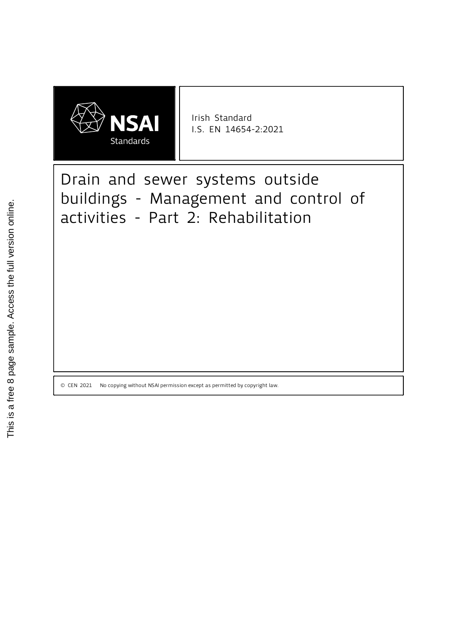

Irish Standard I.S. EN 14654-2:2021

Drain and sewer systems outside buildings - Management and control of activities - Part 2: Rehabilitation OUTION STRAIN THE READILITY OF THE STRAIN STRAIN THE STRAIN STRAIN THE STRAIN STRAIN THE STRAIN STRAIN THE STRAIN STRAIN THE STRAIN STRAIN THE STRAIN STRAIN THE STRAIN STRAIN THE STRAIN STRAIN THE STRAIN ONLY CONNECT AS PE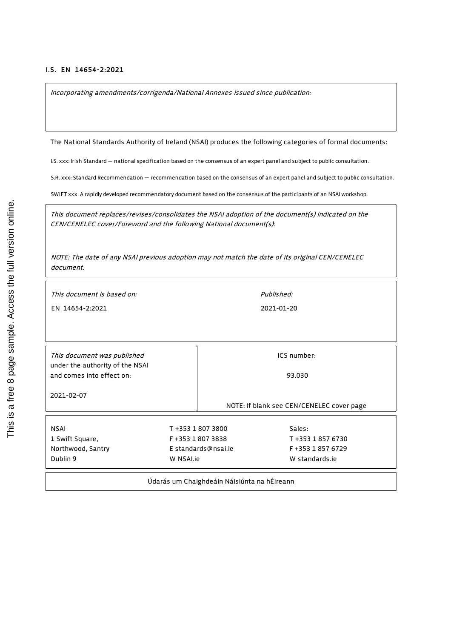#### I.S. EN 14654-2:2021

Incorporating amendments/corrigenda/National Annexes issued since publication:

The National Standards Authority of Ireland (NSAI) produces the following categories of formal documents:

I.S. xxx: Irish Standard — national specification based on the consensus of an expert panel and subject to public consultation.

S.R. xxx: Standard Recommendation - recommendation based on the consensus of an expert panel and subject to public consultation.

SWiFT xxx: A rapidly developed recommendatory document based on the consensus of the participants of an NSAI workshop.

This document replaces/revises/consolidates the NSAI adoption of the document(s) indicated on the CEN/CENELEC cover/Foreword and the following National document(s):

NOTE: The date of any NSAI previous adoption may not match the date of its original CEN/CENELEC document.

This document is based on: EN 14654-2:2021

Published: 2021-01-20

| This document was published                                  |                     | ICS number:                                 |                                           |
|--------------------------------------------------------------|---------------------|---------------------------------------------|-------------------------------------------|
| under the authority of the NSAI<br>and comes into effect on: |                     |                                             | 93.030                                    |
| 2021-02-07                                                   |                     |                                             |                                           |
|                                                              |                     |                                             | NOTE: If blank see CEN/CENELEC cover page |
|                                                              |                     |                                             |                                           |
| NSAI                                                         | T+353 1 807 3800    |                                             | Sales:                                    |
| 1 Swift Square,                                              | F+353 1 807 3838    |                                             | T +353 1 857 6730                         |
| Northwood, Santry                                            | E standards@nsai.ie |                                             | F+353 1857 6729                           |
| Dublin 9                                                     | W NSALie            |                                             | W standards.ie                            |
|                                                              |                     |                                             |                                           |
|                                                              |                     | Údarás um Chaighdeáin Náisiúnta na hÉireann |                                           |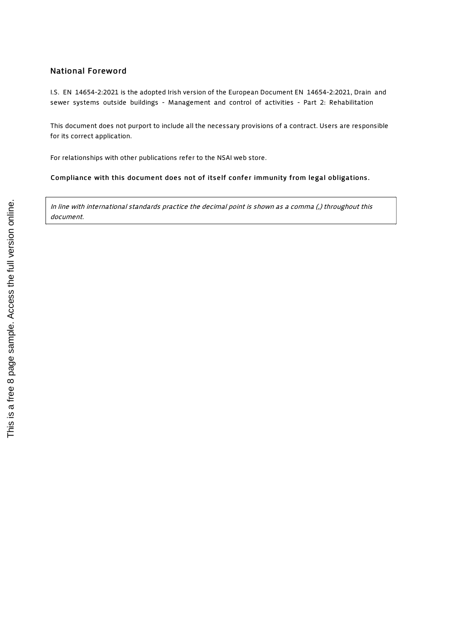#### National Foreword

I.S. EN 14654-2:2021 is the adopted Irish version of the European Document EN 14654-2:2021, Drain and sewer systems outside buildings - Management and control of activities - Part 2: Rehabilitation

This document does not purport to include all the necessary provisions of a contract. Users are responsible for its correct application.

For relationships with other publications refer to the NSAI web store.

Compliance with this document does not of itself confer immunity from legal obligations.

In line with international standards practice the decimal point is shown as a comma (,) throughout this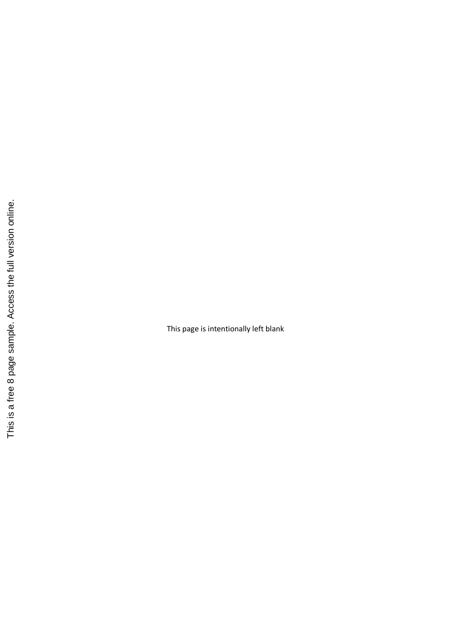This page is intentionally left blank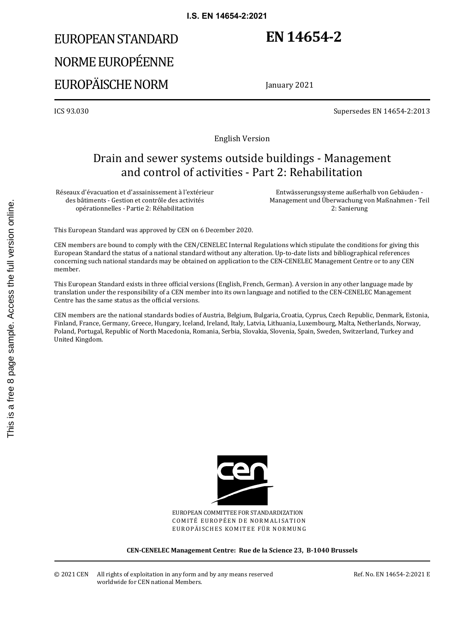# EUROPEAN STANDARD NORME EUROPÉENNE EUROPÄISCHE NORM

# **EN 14654-2**

January 2021

ICS 93.030 Supersedes EN 14654-2:2013

English Version

# Drain and sewer systems outside buildings - Management and control of activities - Part 2: Rehabilitation

Réseaux d'évacuation et d'assainissement à l'extérieur des bâtiments - Gestion et contrôle des activités opérationnelles - Partie 2: Réhabilitation

 Entwässerungssysteme außerhalb von Gebäuden - Management und Überwachung von Maßnahmen - Teil 2: Sanierung

This European Standard was approved by CEN on 6 December 2020.

CEN members are bound to comply with the CEN/CENELEC Internal Regulations which stipulate the conditions for giving this European Standard the status of a national standard without any alteration. Up-to-date lists and bibliographical references concerning such national standards may be obtained on application to the CEN-CENELEC Management Centre or to any CEN member.

This European Standard exists in three official versions (English, French, German). A version in any other language made by translation under the responsibility of a CEN member into its own language and notified to the CEN-CENELEC Management Centre has the same status as the official versions.

CEN members are the national standards bodies of Austria, Belgium, Bulgaria, Croatia, Cyprus, Czech Republic, Denmark, Estonia, Finland, France, Germany, Greece, Hungary, Iceland, Ireland, Italy, Latvia, Lithuania, Luxembourg, Malta, Netherlands, Norway, Poland, Portugal, Republic of North Macedonia, Romania, Serbia, Slovakia, Slovenia, Spain, Sweden, Switzerland, Turkey and United Kingdom.



EUROPEAN COMMITTEE FOR STANDARDIZATION COMITÉ EUROPÉEN DE NORMALISATION EUROPÄISCHES KOMITEE FÜR NORMUNG

**CEN-CENELEC Management Centre: Rue de la Science 23, B-1040 Brussels** 

Ref. No. EN 14654-2:2021 E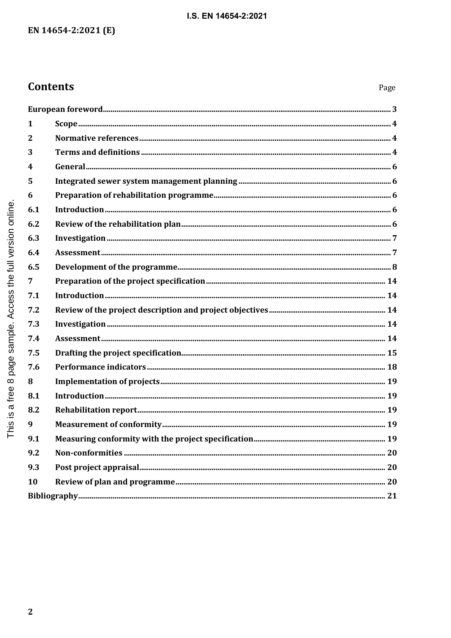# I.S. EN 14654-2:2021

# **Contents**

| 1   |  |
|-----|--|
| 2   |  |
| 3   |  |
| 4   |  |
| 5   |  |
| 6   |  |
| 6.1 |  |
| 6.2 |  |
| 6.3 |  |
| 6.4 |  |
| 6.5 |  |
| 7   |  |
| 7.1 |  |
| 7.2 |  |
| 7.3 |  |
| 7.4 |  |
| 7.5 |  |
| 7.6 |  |
| 8   |  |
| 8.1 |  |
| 8.2 |  |
| 9   |  |
| 9.1 |  |
| 9.2 |  |
| 9.3 |  |
| 10  |  |
|     |  |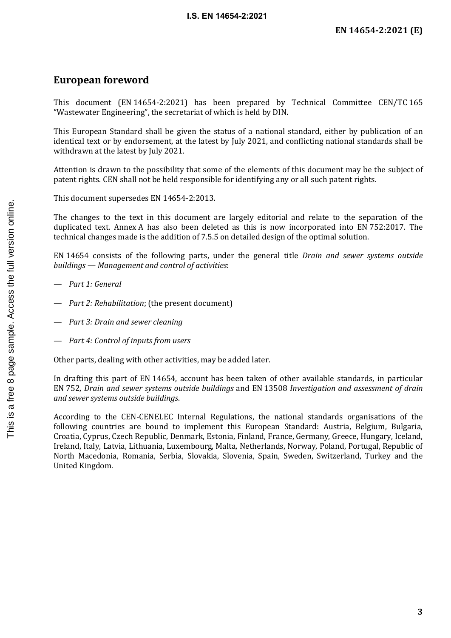# <span id="page-6-0"></span>**European foreword**

This document (EN 14654-2:2021) has been prepared by Technical Committee CEN/TC 165 "Wastewater Engineering", the secretariat of which is held by DIN.

This European Standard shall be given the status of a national standard, either by publication of an identical text or by endorsement, at the latest by July 2021, and conflicting national standards shall be withdrawn at the latest by July 2021.

Attention is drawn to the possibility that some of the elements of this document may be the subject of patent rights. CEN shall not be held responsible for identifying any or all such patent rights.

This document supersedes EN 14654-2:2013.

The changes to the text in this document are largely editorial and relate to the separation of the duplicated text. Annex A has also been deleted as this is now incorporated into EN 752:2017. The technical changes made is the addition of 7.5.5 on detailed design of the optimal solution.

EN 14654 consists of the following parts, under the general title *Drain and sewer systems outside buildings — Management and control of activities*:

- *Part 1: General*
- *Part 2: Rehabilitation*; (the present document)
- *Part 3: Drain and sewer cleaning*
- *Part 4: Control of inputs from users*

Other parts, dealing with other activities, may be added later.

In drafting this part of EN 14654, account has been taken of other available standards, in particular EN 752, *Drain and sewer systems outside buildings* and EN 13508 *Investigation and assessment of drain and sewer systems outside buildings*.

According to the CEN-CENELEC Internal Regulations, the national standards organisations of the following countries are bound to implement this European Standard: Austria, Belgium, Bulgaria, Croatia, Cyprus, Czech Republic, Denmark, Estonia, Finland, France, Germany, Greece, Hungary, Iceland, Ireland, Italy, Latvia, Lithuania, Luxembourg, Malta, Netherlands, Norway, Poland, Portugal, Republic of North Macedonia, Romania, Serbia, Slovakia, Slovenia, Spain, Sweden, Switzerland, Turkey and the United Kingdom.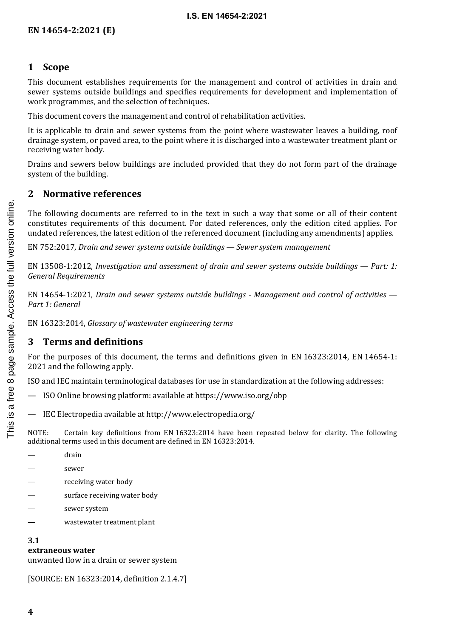# <span id="page-7-0"></span>**1 Scope**

This document establishes requirements for the management and control of activities in drain and sewer systems outside buildings and specifies requirements for development and implementation of work programmes, and the selection of techniques.

This document covers the management and control of rehabilitation activities.

It is applicable to drain and sewer systems from the point where wastewater leaves a building, roof drainage system, or paved area, to the point where it is discharged into a wastewater treatment plant or receiving water body.

Drains and sewers below buildings are included provided that they do not form part of the drainage system of the building.

### <span id="page-7-1"></span>**2 Normative references**

The following documents are referred to in the text in such a way that some or all of their content constitutes requirements of this document. For dated references, only the edition cited applies. For undated references, the latest edition of the referenced document (including any amendments) applies.

EN 752:2017, *Drain and sewer systems outside buildings — Sewer system management*

EN 13508-1:2012, *Investigation and assessment of drain and sewer systems outside buildings — Part: 1: General Requirements*

EN 14654-1:2021, *Drain and sewer systems outside buildings - Management and control of activities — Part 1: General*

EN 16323:2014, *Glossary of wastewater engineering terms*

# <span id="page-7-2"></span>**3 Terms and definitions**

For the purposes of this document, the terms and definitions given in EN 16323:2014, EN 14654-1: 2021 and the following apply.

ISO and IEC maintain terminological databases for use in standardization at the following addresses:

- ISO Online browsing platform: available at<https://www.iso.org/obp>
- IEC Electropedia available a[t http://www.electropedia.org/](http://www.electropedia.org/)

NOTE: Certain key definitions from EN 16323:2014 have been repeated below for clarity. The following additional terms used in this document are defined in EN 16323:2014.

drain

sewer

- receiving water body
- surface receiving water body
- sewer system
- wastewater treatment plant

## **3.1**

## **extraneous water**

unwanted flow in a drain or sewer system

[SOURCE: EN 16323:2014, definition 2.1.4.7]